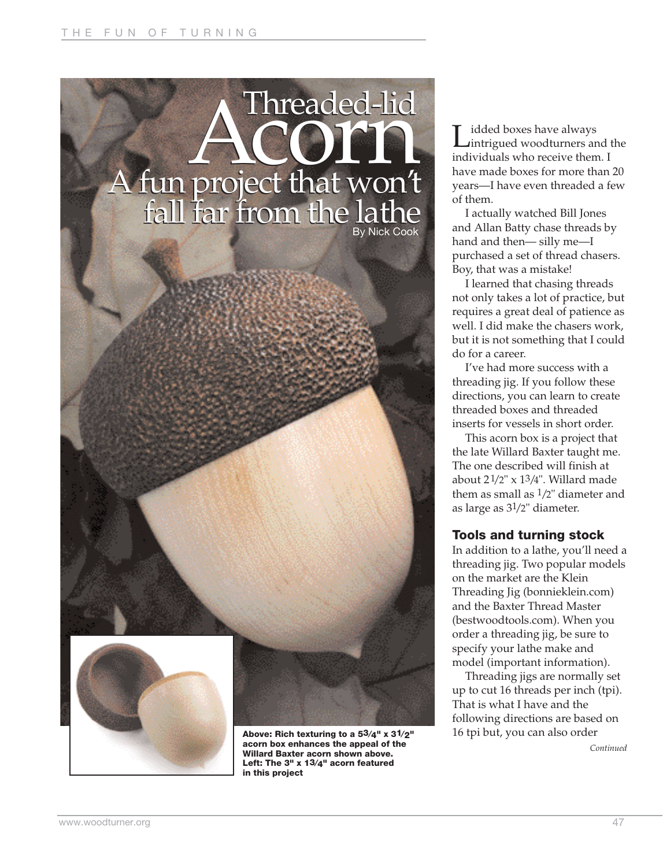



**Above: Rich texturing to a 53⁄4" x 31⁄2" acorn box enhances the appeal of the Willard Baxter acorn shown above. Left: The 3" x 13⁄4" acorn featured in this project**

**L**idded boxes have always<br>intrigued woodturners and the individuals who receive them. I have made boxes for more than 20 years—I have even threaded a few of them.

I actually watched Bill Jones and Allan Batty chase threads by hand and then— silly me—I purchased a set of thread chasers. Boy, that was a mistake!

I learned that chasing threads not only takes a lot of practice, but requires a great deal of patience as well. I did make the chasers work, but it is not something that I could do for a career.

I've had more success with a threading jig. If you follow these directions, you can learn to create threaded boxes and threaded inserts for vessels in short order.

This acorn box is a project that the late Willard Baxter taught me. The one described will finish at about  $2\frac{1}{2}$ " x  $1\frac{3}{4}$ ". Willard made them as small as  $1/2$ " diameter and as large as 31/2" diameter.

## **Tools and turning stock**

In addition to a lathe, you'll need a threading jig. Two popular models on the market are the Klein Threading Jig (bonnieklein.com) and the Baxter Thread Master (bestwoodtools.com). When you order a threading jig, be sure to specify your lathe make and model (important information).

Threading jigs are normally set up to cut 16 threads per inch (tpi). That is what I have and the following directions are based on 16 tpi but, you can also order

*Continued*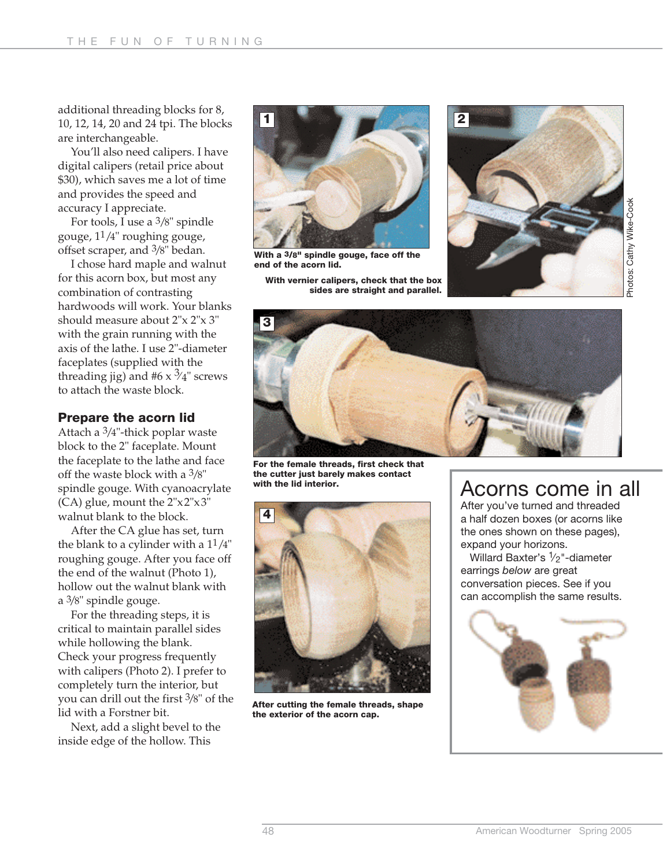additional threading blocks for 8, 10, 12, 14, 20 and 24 tpi. The blocks are interchangeable.

You'll also need calipers. I have digital calipers (retail price about \$30), which saves me a lot of time and provides the speed and accuracy I appreciate.

For tools, I use a 3/8" spindle gouge, 11/4" roughing gouge, offset scraper, and 3/8" bedan.

I chose hard maple and walnut for this acorn box, but most any combination of contrasting hardwoods will work. Your blanks should measure about 2"x 2"x 3" with the grain running with the axis of the lathe. I use 2"-diameter faceplates (supplied with the threading jig) and #6  $\times$   $\frac{3}{4}$ " screws to attach the waste block.

#### **Prepare the acorn lid**

Attach a 3/4"-thick poplar waste block to the 2" faceplate. Mount the faceplate to the lathe and face off the waste block with a 3/8" spindle gouge. With cyanoacrylate (CA) glue, mount the 2"x2"x3" walnut blank to the block.

After the CA glue has set, turn the blank to a cylinder with a  $11/4"$ roughing gouge. After you face off the end of the walnut (Photo 1), hollow out the walnut blank with a 3/8" spindle gouge.

For the threading steps, it is critical to maintain parallel sides while hollowing the blank. Check your progress frequently with calipers (Photo 2). I prefer to completely turn the interior, but you can drill out the first 3/8" of the lid with a Forstner bit.

Next, add a slight bevel to the inside edge of the hollow. This



**With a 3/8" spindle gouge, face off the end of the acorn lid.**

**With vernier calipers, check that the box**

**sides are straight and parallel.** 





**For the female threads, first check that the cutter just barely makes contact with the lid interior.**



**After cutting the female threads, shape the exterior of the acorn cap.**

# Acorns come in all

After you've turned and threaded a half dozen boxes (or acorns like the ones shown on these pages), expand your horizons.

Willard Baxter's  $1/2$ "-diameter earrings *below* are great conversation pieces. See if you can accomplish the same results.

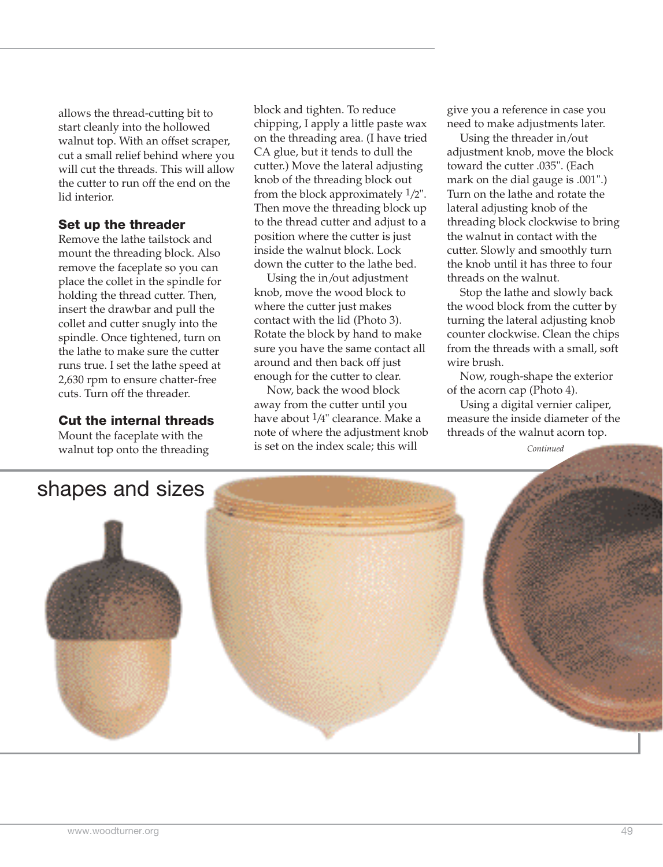allows the thread-cutting bit to start cleanly into the hollowed walnut top. With an offset scraper, cut a small relief behind where you will cut the threads. This will allow the cutter to run off the end on the lid interior.

### **Set up the threader**

Remove the lathe tailstock and mount the threading block. Also remove the faceplate so you can place the collet in the spindle for holding the thread cutter. Then, insert the drawbar and pull the collet and cutter snugly into the spindle. Once tightened, turn on the lathe to make sure the cutter runs true. I set the lathe speed at 2,630 rpm to ensure chatter-free cuts. Turn off the threader.

#### **Cut the internal threads**

Mount the faceplate with the walnut top onto the threading block and tighten. To reduce chipping, I apply a little paste wax on the threading area. (I have tried CA glue, but it tends to dull the cutter.) Move the lateral adjusting knob of the threading block out from the block approximately 1/2". Then move the threading block up to the thread cutter and adjust to a position where the cutter is just inside the walnut block. Lock down the cutter to the lathe bed.

Using the in/out adjustment knob, move the wood block to where the cutter just makes contact with the lid (Photo 3). Rotate the block by hand to make sure you have the same contact all around and then back off just enough for the cutter to clear.

Now, back the wood block away from the cutter until you have about 1/4" clearance. Make a note of where the adjustment knob is set on the index scale; this will

give you a reference in case you need to make adjustments later.

Using the threader in/out adjustment knob, move the block toward the cutter .035". (Each mark on the dial gauge is .001".) Turn on the lathe and rotate the lateral adjusting knob of the threading block clockwise to bring the walnut in contact with the cutter. Slowly and smoothly turn the knob until it has three to four threads on the walnut.

Stop the lathe and slowly back the wood block from the cutter by turning the lateral adjusting knob counter clockwise. Clean the chips from the threads with a small, soft wire brush.

Now, rough-shape the exterior of the acorn cap (Photo 4).

Using a digital vernier caliper, measure the inside diameter of the threads of the walnut acorn top.

*Continued*

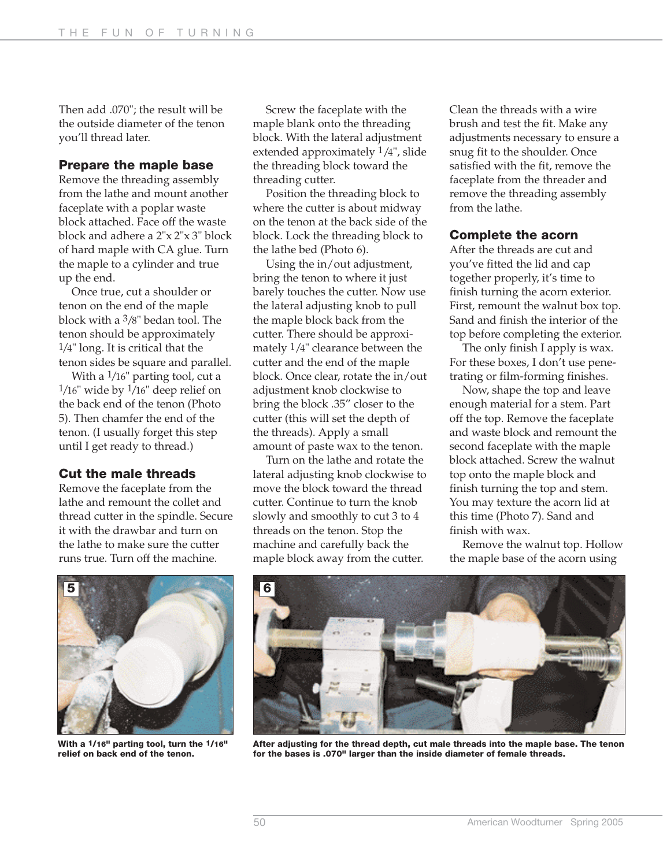Then add .070"; the result will be the outside diameter of the tenon you'll thread later.

#### **Prepare the maple base**

Remove the threading assembly from the lathe and mount another faceplate with a poplar waste block attached. Face off the waste block and adhere a 2"x 2"x 3" block of hard maple with CA glue. Turn the maple to a cylinder and true up the end.

Once true, cut a shoulder or tenon on the end of the maple block with a 3/8" bedan tool. The tenon should be approximately 1/4" long. It is critical that the tenon sides be square and parallel.

With a  $1/16$ " parting tool, cut a  $1/16$ " wide by  $1/16$ " deep relief on the back end of the tenon (Photo 5). Then chamfer the end of the tenon. (I usually forget this step until I get ready to thread.)

#### **Cut the male threads**

Remove the faceplate from the lathe and remount the collet and thread cutter in the spindle. Secure it with the drawbar and turn on the lathe to make sure the cutter

runs true. Turn off the machine. **5 6**

Screw the faceplate with the maple blank onto the threading block. With the lateral adjustment extended approximately 1/4", slide the threading block toward the threading cutter.

Position the threading block to where the cutter is about midway on the tenon at the back side of the block. Lock the threading block to the lathe bed (Photo 6).

Using the in/out adjustment, bring the tenon to where it just barely touches the cutter. Now use the lateral adjusting knob to pull the maple block back from the cutter. There should be approximately 1/4" clearance between the cutter and the end of the maple block. Once clear, rotate the in/out adjustment knob clockwise to bring the block .35" closer to the cutter (this will set the depth of the threads). Apply a small amount of paste wax to the tenon.

Turn on the lathe and rotate the lateral adjusting knob clockwise to move the block toward the thread cutter. Continue to turn the knob slowly and smoothly to cut 3 to 4 threads on the tenon. Stop the machine and carefully back the maple block away from the cutter.

Clean the threads with a wire brush and test the fit. Make any adjustments necessary to ensure a snug fit to the shoulder. Once satisfied with the fit, remove the faceplate from the threader and remove the threading assembly from the lathe.

#### **Complete the acorn**

After the threads are cut and you've fitted the lid and cap together properly, it's time to finish turning the acorn exterior. First, remount the walnut box top. Sand and finish the interior of the top before completing the exterior.

The only finish I apply is wax. For these boxes, I don't use penetrating or film-forming finishes.

Now, shape the top and leave enough material for a stem. Part off the top. Remove the faceplate and waste block and remount the second faceplate with the maple block attached. Screw the walnut top onto the maple block and finish turning the top and stem. You may texture the acorn lid at this time (Photo 7). Sand and finish with wax.

Remove the walnut top. Hollow the maple base of the acorn using



**With a 1/16" parting tool, turn the 1/16" relief on back end of the tenon.** 



**After adjusting for the thread depth, cut male threads into the maple base. The tenon for the bases is .070" larger than the inside diameter of female threads.**